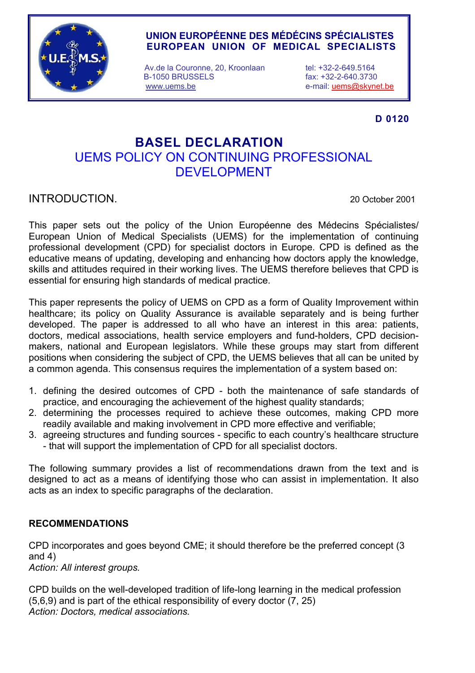

## **UNION EUROPÉENNE DES MÉDÉCINS SPÉCIALISTES EUROPEAN UNION OF MEDICAL SPECIALISTS**

Av.de la Couronne, 20, Kroonlaan tel: +32-2-649.5164 B-1050 BRUSSELS fax: +32-2-640.3730 www.uems.be e-mail: uems@skynet.be

**D 0120** 

# **BASEL DECLARATION**  UEMS POLICY ON CONTINUING PROFESSIONAL DEVELOPMENT

INTRODUCTION. 20 October 2001

This paper sets out the policy of the Union Européenne des Médecins Spécialistes/ European Union of Medical Specialists (UEMS) for the implementation of continuing professional development (CPD) for specialist doctors in Europe. CPD is defined as the educative means of updating, developing and enhancing how doctors apply the knowledge, skills and attitudes required in their working lives. The UEMS therefore believes that CPD is essential for ensuring high standards of medical practice.

This paper represents the policy of UEMS on CPD as a form of Quality Improvement within healthcare; its policy on Quality Assurance is available separately and is being further developed. The paper is addressed to all who have an interest in this area: patients, doctors, medical associations, health service employers and fund-holders, CPD decisionmakers, national and European legislators. While these groups may start from different positions when considering the subject of CPD, the UEMS believes that all can be united by a common agenda. This consensus requires the implementation of a system based on:

- 1. defining the desired outcomes of CPD both the maintenance of safe standards of practice, and encouraging the achievement of the highest quality standards;
- 2. determining the processes required to achieve these outcomes, making CPD more readily available and making involvement in CPD more effective and verifiable;
- 3. agreeing structures and funding sources specific to each country's healthcare structure - that will support the implementation of CPD for all specialist doctors.

The following summary provides a list of recommendations drawn from the text and is designed to act as a means of identifying those who can assist in implementation. It also acts as an index to specific paragraphs of the declaration.

## **RECOMMENDATIONS**

CPD incorporates and goes beyond CME; it should therefore be the preferred concept (3 and 4) *Action: All interest groups.* 

CPD builds on the well-developed tradition of life-long learning in the medical profession (5,6,9) and is part of the ethical responsibility of every doctor (7, 25) *Action: Doctors, medical associations.*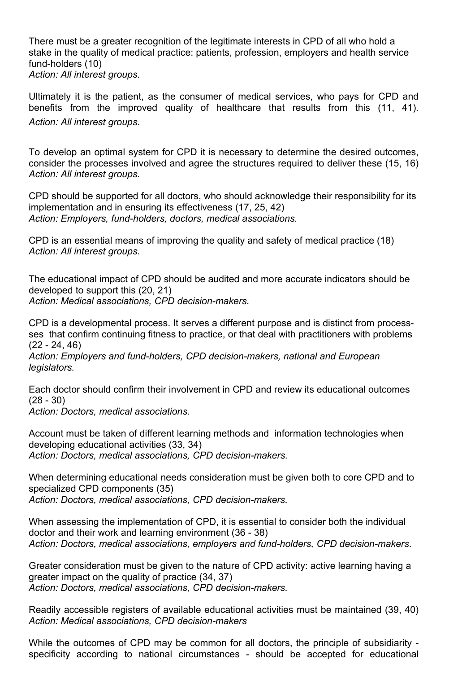There must be a greater recognition of the legitimate interests in CPD of all who hold a stake in the quality of medical practice: patients, profession, employers and health service fund-holders (10) *Action: All interest groups.* 

Ultimately it is the patient, as the consumer of medical services, who pays for CPD and benefits from the improved quality of healthcare that results from this (11, 41). *Action: All interest groups*.

To develop an optimal system for CPD it is necessary to determine the desired outcomes, consider the processes involved and agree the structures required to deliver these (15, 16) *Action: All interest groups.*

CPD should be supported for all doctors, who should acknowledge their responsibility for its implementation and in ensuring its effectiveness (17, 25, 42) *Action: Employers, fund-holders, doctors, medical associations.*

CPD is an essential means of improving the quality and safety of medical practice (18) *Action: All interest groups.* 

The educational impact of CPD should be audited and more accurate indicators should be developed to support this (20, 21) *Action: Medical associations, CPD decision-makers.*

CPD is a developmental process. It serves a different purpose and is distinct from processses that confirm continuing fitness to practice, or that deal with practitioners with problems (22 - 24, 46)

*Action: Employers and fund-holders, CPD decision-makers, national and European legislators.* 

Each doctor should confirm their involvement in CPD and review its educational outcomes (28 - 30)

*Action: Doctors, medical associations.* 

Account must be taken of different learning methods and information technologies when developing educational activities (33, 34) *Action: Doctors, medical associations, CPD decision-makers.* 

When determining educational needs consideration must be given both to core CPD and to specialized CPD components (35) *Action: Doctors, medical associations, CPD decision-makers.* 

When assessing the implementation of CPD, it is essential to consider both the individual doctor and their work and learning environment (36 - 38) *Action: Doctors, medical associations, employers and fund-holders, CPD decision-makers*.

Greater consideration must be given to the nature of CPD activity: active learning having a greater impact on the quality of practice (34, 37) *Action: Doctors, medical associations, CPD decision-makers.* 

Readily accessible registers of available educational activities must be maintained (39, 40) *Action: Medical associations, CPD decision-makers* 

While the outcomes of CPD may be common for all doctors, the principle of subsidiarity specificity according to national circumstances - should be accepted for educational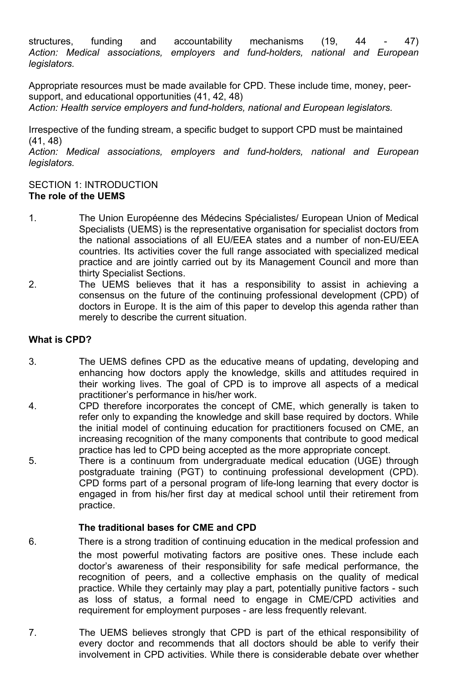structures, funding and accountability mechanisms (19, 44 - 47) *Action: Medical associations, employers and fund-holders, national and European legislators.* 

Appropriate resources must be made available for CPD. These include time, money, peersupport, and educational opportunities (41, 42, 48) *Action: Health service employers and fund-holders, national and European legislators.*

Irrespective of the funding stream, a specific budget to support CPD must be maintained (41, 48)

*Action: Medical associations, employers and fund-holders, national and European legislators.* 

## SECTION 1: INTRODUCTION **The role of the UEMS**

- 1. The Union Européenne des Médecins Spécialistes/ European Union of Medical Specialists (UEMS) is the representative organisation for specialist doctors from the national associations of all EU/EEA states and a number of non-EU/EEA countries. Its activities cover the full range associated with specialized medical practice and are jointly carried out by its Management Council and more than thirty Specialist Sections.
- 2. The UEMS believes that it has a responsibility to assist in achieving a consensus on the future of the continuing professional development (CPD) of doctors in Europe. It is the aim of this paper to develop this agenda rather than merely to describe the current situation.

## **What is CPD?**

- 3. The UEMS defines CPD as the educative means of updating, developing and enhancing how doctors apply the knowledge, skills and attitudes required in their working lives. The goal of CPD is to improve all aspects of a medical practitioner's performance in his/her work.
- 4. CPD therefore incorporates the concept of CME, which generally is taken to refer only to expanding the knowledge and skill base required by doctors. While the initial model of continuing education for practitioners focused on CME, an increasing recognition of the many components that contribute to good medical practice has led to CPD being accepted as the more appropriate concept.
- 5. There is a continuum from undergraduate medical education (UGE) through postgraduate training (PGT) to continuing professional development (CPD). CPD forms part of a personal program of life-long learning that every doctor is engaged in from his/her first day at medical school until their retirement from practice.

## **The traditional bases for CME and CPD**

- 6. There is a strong tradition of continuing education in the medical profession and the most powerful motivating factors are positive ones. These include each doctor's awareness of their responsibility for safe medical performance, the recognition of peers, and a collective emphasis on the quality of medical practice. While they certainly may play a part, potentially punitive factors - such as loss of status, a formal need to engage in CME/CPD activities and requirement for employment purposes - are less frequently relevant.
- 7. The UEMS believes strongly that CPD is part of the ethical responsibility of every doctor and recommends that all doctors should be able to verify their involvement in CPD activities. While there is considerable debate over whether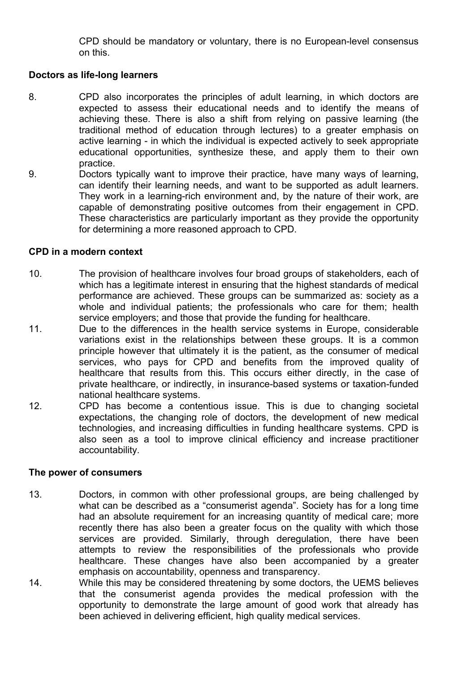CPD should be mandatory or voluntary, there is no European-level consensus on this.

## **Doctors as life-long learners**

- 8. CPD also incorporates the principles of adult learning, in which doctors are expected to assess their educational needs and to identify the means of achieving these. There is also a shift from relying on passive learning (the traditional method of education through lectures) to a greater emphasis on active learning - in which the individual is expected actively to seek appropriate educational opportunities, synthesize these, and apply them to their own practice.
- 9. Doctors typically want to improve their practice, have many ways of learning, can identify their learning needs, and want to be supported as adult learners. They work in a learning-rich environment and, by the nature of their work, are capable of demonstrating positive outcomes from their engagement in CPD. These characteristics are particularly important as they provide the opportunity for determining a more reasoned approach to CPD.

## **CPD in a modern context**

- 10. The provision of healthcare involves four broad groups of stakeholders, each of which has a legitimate interest in ensuring that the highest standards of medical performance are achieved. These groups can be summarized as: society as a whole and individual patients; the professionals who care for them; health service employers; and those that provide the funding for healthcare.
- 11. Due to the differences in the health service systems in Europe, considerable variations exist in the relationships between these groups. It is a common principle however that ultimately it is the patient, as the consumer of medical services, who pays for CPD and benefits from the improved quality of healthcare that results from this. This occurs either directly, in the case of private healthcare, or indirectly, in insurance-based systems or taxation-funded national healthcare systems.
- 12. CPD has become a contentious issue. This is due to changing societal expectations, the changing role of doctors, the development of new medical technologies, and increasing difficulties in funding healthcare systems. CPD is also seen as a tool to improve clinical efficiency and increase practitioner accountability.

#### **The power of consumers**

- 13. Doctors, in common with other professional groups, are being challenged by what can be described as a "consumerist agenda". Society has for a long time had an absolute requirement for an increasing quantity of medical care; more recently there has also been a greater focus on the quality with which those services are provided. Similarly, through deregulation, there have been attempts to review the responsibilities of the professionals who provide healthcare. These changes have also been accompanied by a greater emphasis on accountability, openness and transparency.
- 14. While this may be considered threatening by some doctors, the UEMS believes that the consumerist agenda provides the medical profession with the opportunity to demonstrate the large amount of good work that already has been achieved in delivering efficient, high quality medical services.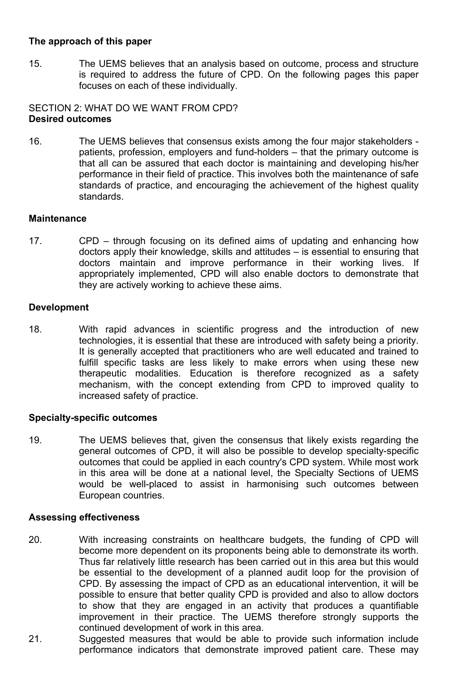## **The approach of this paper**

15. The UEMS believes that an analysis based on outcome, process and structure is required to address the future of CPD. On the following pages this paper focuses on each of these individually.

#### SECTION 2: WHAT DO WE WANT FROM CPD? **Desired outcomes**

16. The UEMS believes that consensus exists among the four major stakeholders patients, profession, employers and fund-holders – that the primary outcome is that all can be assured that each doctor is maintaining and developing his/her performance in their field of practice. This involves both the maintenance of safe standards of practice, and encouraging the achievement of the highest quality standards.

#### **Maintenance**

17. CPD – through focusing on its defined aims of updating and enhancing how doctors apply their knowledge, skills and attitudes – is essential to ensuring that doctors maintain and improve performance in their working lives. If appropriately implemented, CPD will also enable doctors to demonstrate that they are actively working to achieve these aims.

## **Development**

18. With rapid advances in scientific progress and the introduction of new technologies, it is essential that these are introduced with safety being a priority. It is generally accepted that practitioners who are well educated and trained to fulfill specific tasks are less likely to make errors when using these new therapeutic modalities. Education is therefore recognized as a safety mechanism, with the concept extending from CPD to improved quality to increased safety of practice.

## **Specialty-specific outcomes**

19. The UEMS believes that, given the consensus that likely exists regarding the general outcomes of CPD, it will also be possible to develop specialty-specific outcomes that could be applied in each country's CPD system. While most work in this area will be done at a national level, the Specialty Sections of UEMS would be well-placed to assist in harmonising such outcomes between European countries.

## **Assessing effectiveness**

- 20. With increasing constraints on healthcare budgets, the funding of CPD will become more dependent on its proponents being able to demonstrate its worth. Thus far relatively little research has been carried out in this area but this would be essential to the development of a planned audit loop for the provision of CPD. By assessing the impact of CPD as an educational intervention, it will be possible to ensure that better quality CPD is provided and also to allow doctors to show that they are engaged in an activity that produces a quantifiable improvement in their practice. The UEMS therefore strongly supports the continued development of work in this area.
- 21. Suggested measures that would be able to provide such information include performance indicators that demonstrate improved patient care. These may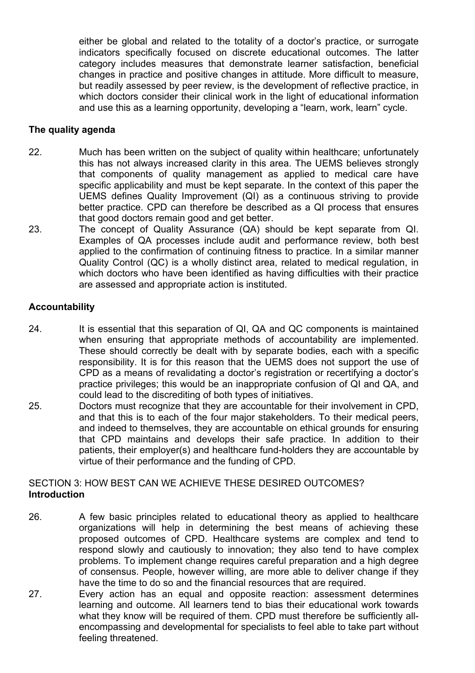either be global and related to the totality of a doctor's practice, or surrogate indicators specifically focused on discrete educational outcomes. The latter category includes measures that demonstrate learner satisfaction, beneficial changes in practice and positive changes in attitude. More difficult to measure, but readily assessed by peer review, is the development of reflective practice, in which doctors consider their clinical work in the light of educational information and use this as a learning opportunity, developing a "learn, work, learn" cycle.

## **The quality agenda**

- 22. Much has been written on the subject of quality within healthcare; unfortunately this has not always increased clarity in this area. The UEMS believes strongly that components of quality management as applied to medical care have specific applicability and must be kept separate. In the context of this paper the UEMS defines Quality Improvement (QI) as a continuous striving to provide better practice. CPD can therefore be described as a QI process that ensures that good doctors remain good and get better.
- 23. The concept of Quality Assurance (QA) should be kept separate from QI. Examples of QA processes include audit and performance review, both best applied to the confirmation of continuing fitness to practice. In a similar manner Quality Control (QC) is a wholly distinct area, related to medical regulation, in which doctors who have been identified as having difficulties with their practice are assessed and appropriate action is instituted.

## **Accountability**

- 24. It is essential that this separation of QI, QA and QC components is maintained when ensuring that appropriate methods of accountability are implemented. These should correctly be dealt with by separate bodies, each with a specific responsibility. It is for this reason that the UEMS does not support the use of CPD as a means of revalidating a doctor's registration or recertifying a doctor's practice privileges; this would be an inappropriate confusion of QI and QA, and could lead to the discrediting of both types of initiatives.
- 25. Doctors must recognize that they are accountable for their involvement in CPD, and that this is to each of the four major stakeholders. To their medical peers, and indeed to themselves, they are accountable on ethical grounds for ensuring that CPD maintains and develops their safe practice. In addition to their patients, their employer(s) and healthcare fund-holders they are accountable by virtue of their performance and the funding of CPD.

## SECTION 3: HOW BEST CAN WE ACHIEVE THESE DESIRED OUTCOMES? **Introduction**

- 26. A few basic principles related to educational theory as applied to healthcare organizations will help in determining the best means of achieving these proposed outcomes of CPD. Healthcare systems are complex and tend to respond slowly and cautiously to innovation; they also tend to have complex problems. To implement change requires careful preparation and a high degree of consensus. People, however willing, are more able to deliver change if they have the time to do so and the financial resources that are required.
- 27. Every action has an equal and opposite reaction: assessment determines learning and outcome. All learners tend to bias their educational work towards what they know will be required of them. CPD must therefore be sufficiently allencompassing and developmental for specialists to feel able to take part without feeling threatened.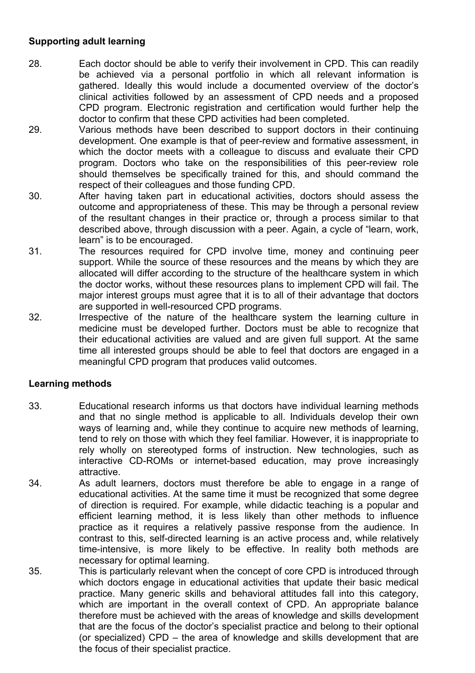## **Supporting adult learning**

- 28. Each doctor should be able to verify their involvement in CPD. This can readily be achieved via a personal portfolio in which all relevant information is gathered. Ideally this would include a documented overview of the doctor's clinical activities followed by an assessment of CPD needs and a proposed CPD program. Electronic registration and certification would further help the doctor to confirm that these CPD activities had been completed.
- 29. Various methods have been described to support doctors in their continuing development. One example is that of peer-review and formative assessment, in which the doctor meets with a colleague to discuss and evaluate their CPD program. Doctors who take on the responsibilities of this peer-review role should themselves be specifically trained for this, and should command the respect of their colleagues and those funding CPD.
- 30. After having taken part in educational activities, doctors should assess the outcome and appropriateness of these. This may be through a personal review of the resultant changes in their practice or, through a process similar to that described above, through discussion with a peer. Again, a cycle of "learn, work, learn" is to be encouraged.
- 31. The resources required for CPD involve time, money and continuing peer support. While the source of these resources and the means by which they are allocated will differ according to the structure of the healthcare system in which the doctor works, without these resources plans to implement CPD will fail. The major interest groups must agree that it is to all of their advantage that doctors are supported in well-resourced CPD programs.
- 32. Irrespective of the nature of the healthcare system the learning culture in medicine must be developed further. Doctors must be able to recognize that their educational activities are valued and are given full support. At the same time all interested groups should be able to feel that doctors are engaged in a meaningful CPD program that produces valid outcomes.

## **Learning methods**

- 33. Educational research informs us that doctors have individual learning methods and that no single method is applicable to all. Individuals develop their own ways of learning and, while they continue to acquire new methods of learning, tend to rely on those with which they feel familiar. However, it is inappropriate to rely wholly on stereotyped forms of instruction. New technologies, such as interactive CD-ROMs or internet-based education, may prove increasingly attractive.
- 34. As adult learners, doctors must therefore be able to engage in a range of educational activities. At the same time it must be recognized that some degree of direction is required. For example, while didactic teaching is a popular and efficient learning method, it is less likely than other methods to influence practice as it requires a relatively passive response from the audience. In contrast to this, self-directed learning is an active process and, while relatively time-intensive, is more likely to be effective. In reality both methods are necessary for optimal learning.
- 35. This is particularly relevant when the concept of core CPD is introduced through which doctors engage in educational activities that update their basic medical practice. Many generic skills and behavioral attitudes fall into this category, which are important in the overall context of CPD. An appropriate balance therefore must be achieved with the areas of knowledge and skills development that are the focus of the doctor's specialist practice and belong to their optional (or specialized) CPD – the area of knowledge and skills development that are the focus of their specialist practice.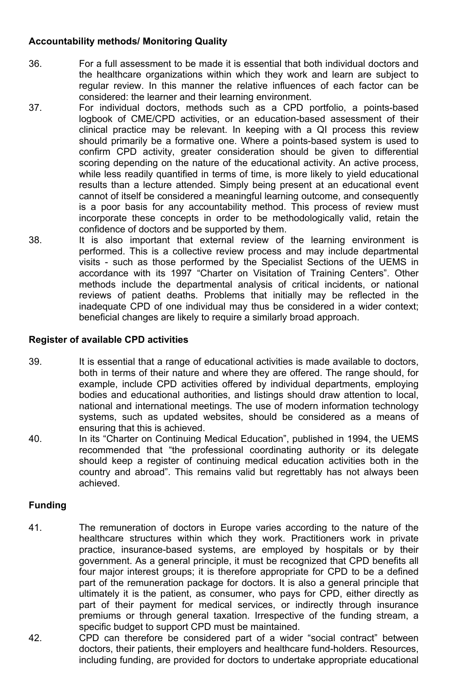## **Accountability methods/ Monitoring Quality**

- 36. For a full assessment to be made it is essential that both individual doctors and the healthcare organizations within which they work and learn are subject to regular review. In this manner the relative influences of each factor can be considered: the learner and their learning environment.
- 37. For individual doctors, methods such as a CPD portfolio, a points-based logbook of CME/CPD activities, or an education-based assessment of their clinical practice may be relevant. In keeping with a QI process this review should primarily be a formative one. Where a points-based system is used to confirm CPD activity, greater consideration should be given to differential scoring depending on the nature of the educational activity. An active process, while less readily quantified in terms of time, is more likely to yield educational results than a lecture attended. Simply being present at an educational event cannot of itself be considered a meaningful learning outcome, and consequently is a poor basis for any accountability method. This process of review must incorporate these concepts in order to be methodologically valid, retain the confidence of doctors and be supported by them.
- 38. It is also important that external review of the learning environment is performed. This is a collective review process and may include departmental visits - such as those performed by the Specialist Sections of the UEMS in accordance with its 1997 "Charter on Visitation of Training Centers". Other methods include the departmental analysis of critical incidents, or national reviews of patient deaths. Problems that initially may be reflected in the inadequate CPD of one individual may thus be considered in a wider context; beneficial changes are likely to require a similarly broad approach.

#### **Register of available CPD activities**

- 39. It is essential that a range of educational activities is made available to doctors, both in terms of their nature and where they are offered. The range should, for example, include CPD activities offered by individual departments, employing bodies and educational authorities, and listings should draw attention to local, national and international meetings. The use of modern information technology systems, such as updated websites, should be considered as a means of ensuring that this is achieved.
- 40. In its "Charter on Continuing Medical Education", published in 1994, the UEMS recommended that "the professional coordinating authority or its delegate should keep a register of continuing medical education activities both in the country and abroad". This remains valid but regrettably has not always been achieved.

## **Funding**

- 41. The remuneration of doctors in Europe varies according to the nature of the healthcare structures within which they work. Practitioners work in private practice, insurance-based systems, are employed by hospitals or by their government. As a general principle, it must be recognized that CPD benefits all four major interest groups; it is therefore appropriate for CPD to be a defined part of the remuneration package for doctors. It is also a general principle that ultimately it is the patient, as consumer, who pays for CPD, either directly as part of their payment for medical services, or indirectly through insurance premiums or through general taxation. Irrespective of the funding stream, a specific budget to support CPD must be maintained.
- 42. CPD can therefore be considered part of a wider "social contract" between doctors, their patients, their employers and healthcare fund-holders. Resources, including funding, are provided for doctors to undertake appropriate educational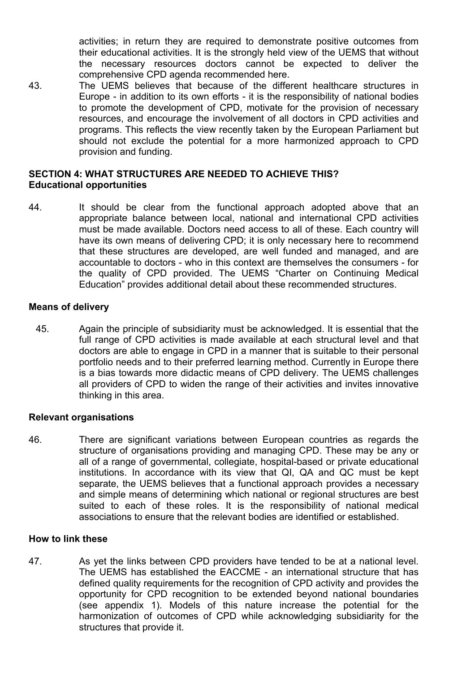activities; in return they are required to demonstrate positive outcomes from their educational activities. It is the strongly held view of the UEMS that without the necessary resources doctors cannot be expected to deliver the comprehensive CPD agenda recommended here.

43. The UEMS believes that because of the different healthcare structures in Europe - in addition to its own efforts - it is the responsibility of national bodies to promote the development of CPD, motivate for the provision of necessary resources, and encourage the involvement of all doctors in CPD activities and programs. This reflects the view recently taken by the European Parliament but should not exclude the potential for a more harmonized approach to CPD provision and funding.

#### **SECTION 4: WHAT STRUCTURES ARE NEEDED TO ACHIEVE THIS? Educational opportunities**

44. It should be clear from the functional approach adopted above that an appropriate balance between local, national and international CPD activities must be made available. Doctors need access to all of these. Each country will have its own means of delivering CPD; it is only necessary here to recommend that these structures are developed, are well funded and managed, and are accountable to doctors - who in this context are themselves the consumers - for the quality of CPD provided. The UEMS "Charter on Continuing Medical Education" provides additional detail about these recommended structures.

#### **Means of delivery**

45. Again the principle of subsidiarity must be acknowledged. It is essential that the full range of CPD activities is made available at each structural level and that doctors are able to engage in CPD in a manner that is suitable to their personal portfolio needs and to their preferred learning method. Currently in Europe there is a bias towards more didactic means of CPD delivery. The UEMS challenges all providers of CPD to widen the range of their activities and invites innovative thinking in this area.

#### **Relevant organisations**

46. There are significant variations between European countries as regards the structure of organisations providing and managing CPD. These may be any or all of a range of governmental, collegiate, hospital-based or private educational institutions. In accordance with its view that QI, QA and QC must be kept separate, the UEMS believes that a functional approach provides a necessary and simple means of determining which national or regional structures are best suited to each of these roles. It is the responsibility of national medical associations to ensure that the relevant bodies are identified or established.

#### **How to link these**

47. As yet the links between CPD providers have tended to be at a national level. The UEMS has established the EACCME - an international structure that has defined quality requirements for the recognition of CPD activity and provides the opportunity for CPD recognition to be extended beyond national boundaries (see appendix 1). Models of this nature increase the potential for the harmonization of outcomes of CPD while acknowledging subsidiarity for the structures that provide it.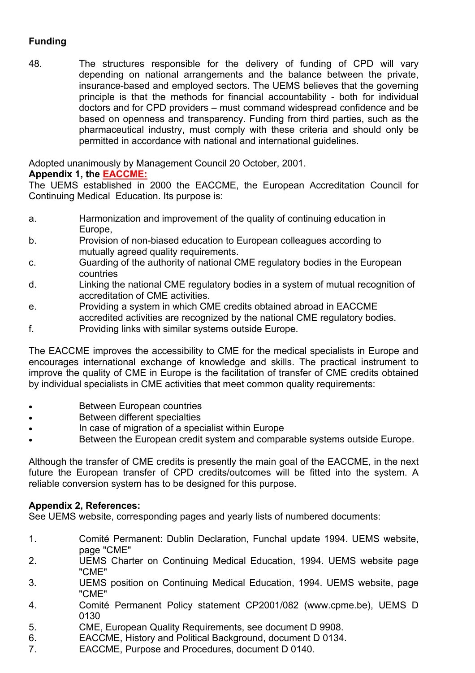# **Funding**

48. The structures responsible for the delivery of funding of CPD will vary depending on national arrangements and the balance between the private, insurance-based and employed sectors. The UEMS believes that the governing principle is that the methods for financial accountability - both for individual doctors and for CPD providers – must command widespread confidence and be based on openness and transparency. Funding from third parties, such as the pharmaceutical industry, must comply with these criteria and should only be permitted in accordance with national and international guidelines.

Adopted unanimously by Management Council 20 October, 2001.

# **Appendix 1, the EACCME:**

The UEMS established in 2000 the EACCME, the European Accreditation Council for Continuing Medical Education. Its purpose is:

- a. Harmonization and improvement of the quality of continuing education in Europe,
- b. Provision of non-biased education to European colleagues according to mutually agreed quality requirements.
- c. Guarding of the authority of national CME regulatory bodies in the European countries
- d. Linking the national CME regulatory bodies in a system of mutual recognition of accreditation of CME activities.
- e. Providing a system in which CME credits obtained abroad in EACCME accredited activities are recognized by the national CME regulatory bodies.
- f. Providing links with similar systems outside Europe.

The EACCME improves the accessibility to CME for the medical specialists in Europe and encourages international exchange of knowledge and skills. The practical instrument to improve the quality of CME in Europe is the facilitation of transfer of CME credits obtained by individual specialists in CME activities that meet common quality requirements:

- Between European countries
- Between different specialties
- In case of migration of a specialist within Europe
- Between the European credit system and comparable systems outside Europe.

Although the transfer of CME credits is presently the main goal of the EACCME, in the next future the European transfer of CPD credits/outcomes will be fitted into the system. A reliable conversion system has to be designed for this purpose.

# **Appendix 2, References:**

See UEMS website, corresponding pages and yearly lists of numbered documents:

- 1. Comité Permanent: Dublin Declaration, Funchal update 1994. UEMS website, page "CME"
- 2. UEMS Charter on Continuing Medical Education, 1994. UEMS website page "CME"
- 3. UEMS position on Continuing Medical Education, 1994. UEMS website, page "CME"
- 4. Comité Permanent Policy statement CP2001/082 (www.cpme.be), UEMS D 0130
- 5. CME, European Quality Requirements, see document D 9908.
- 6. EACCME, History and Political Background, document D 0134.
- 7. EACCME, Purpose and Procedures, document D 0140.